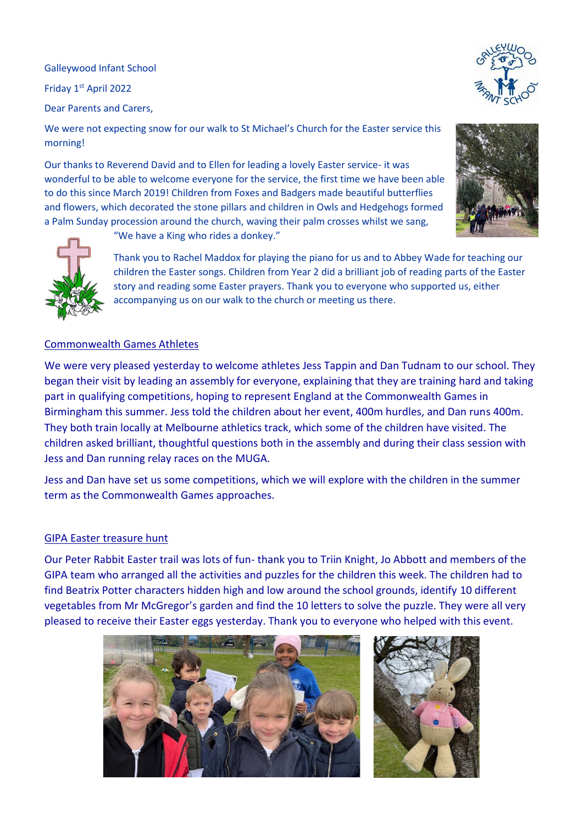Galleywood Infant School

Friday 1st April 2022

Dear Parents and Carers,

We were not expecting snow for our walk to St Michael's Church for the Easter service this morning!

Our thanks to Reverend David and to Ellen for leading a lovely Easter service- it was wonderful to be able to welcome everyone for the service, the first time we have been able to do this since March 2019! Children from Foxes and Badgers made beautiful butterflies and flowers, which decorated the stone pillars and children in Owls and Hedgehogs formed a Palm Sunday procession around the church, waving their palm crosses whilst we sang,





"We have a King who rides a donkey."

Thank you to Rachel Maddox for playing the piano for us and to Abbey Wade for teaching our children the Easter songs. Children from Year 2 did a brilliant job of reading parts of the Easter story and reading some Easter prayers. Thank you to everyone who supported us, either accompanying us on our walk to the church or meeting us there.

## Commonwealth Games Athletes

We were very pleased yesterday to welcome athletes Jess Tappin and Dan Tudnam to our school. They began their visit by leading an assembly for everyone, explaining that they are training hard and taking part in qualifying competitions, hoping to represent England at the Commonwealth Games in Birmingham this summer. Jess told the children about her event, 400m hurdles, and Dan runs 400m. They both train locally at Melbourne athletics track, which some of the children have visited. The children asked brilliant, thoughtful questions both in the assembly and during their class session with Jess and Dan running relay races on the MUGA.

Jess and Dan have set us some competitions, which we will explore with the children in the summer term as the Commonwealth Games approaches.

## GIPA Easter treasure hunt

Our Peter Rabbit Easter trail was lots of fun- thank you to Triin Knight, Jo Abbott and members of the GIPA team who arranged all the activities and puzzles for the children this week. The children had to find Beatrix Potter characters hidden high and low around the school grounds, identify 10 different vegetables from Mr McGregor's garden and find the 10 letters to solve the puzzle. They were all very pleased to receive their Easter eggs yesterday. Thank you to everyone who helped with this event.





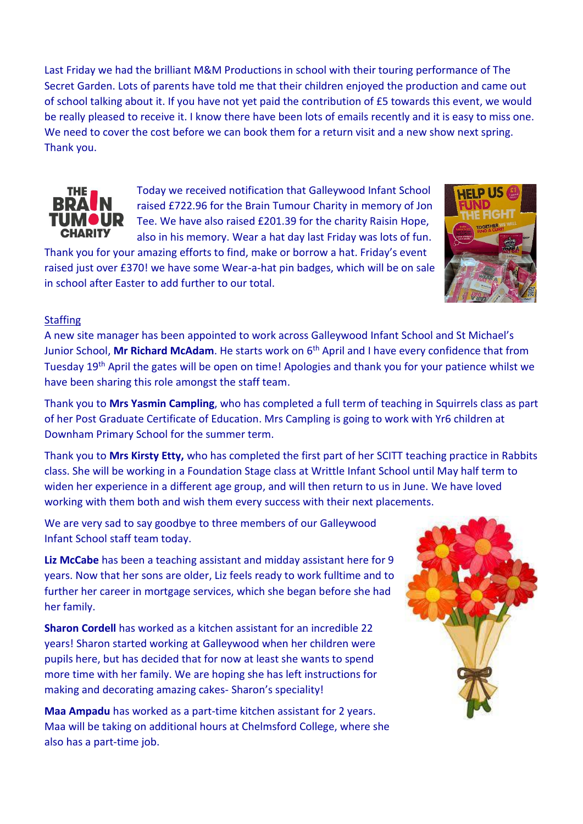Last Friday we had the brilliant M&M Productions in school with their touring performance of The Secret Garden. Lots of parents have told me that their children enjoyed the production and came out of school talking about it. If you have not yet paid the contribution of £5 towards this event, we would be really pleased to receive it. I know there have been lots of emails recently and it is easy to miss one. We need to cover the cost before we can book them for a return visit and a new show next spring. Thank you.



Today we received notification that Galleywood Infant School raised £722.96 for the Brain Tumour Charity in memory of Jon Tee. We have also raised £201.39 for the charity Raisin Hope, also in his memory. Wear a hat day last Friday was lots of fun.

Thank you for your amazing efforts to find, make or borrow a hat. Friday's event raised just over £370! we have some Wear-a-hat pin badges, which will be on sale in school after Easter to add further to our total.

## **Staffing**

A new site manager has been appointed to work across Galleywood Infant School and St Michael's Junior School, **Mr Richard McAdam**. He starts work on 6th April and I have every confidence that from Tuesday 19th April the gates will be open on time! Apologies and thank you for your patience whilst we have been sharing this role amongst the staff team.

Thank you to **Mrs Yasmin Campling**, who has completed a full term of teaching in Squirrels class as part of her Post Graduate Certificate of Education. Mrs Campling is going to work with Yr6 children at Downham Primary School for the summer term.

Thank you to **Mrs Kirsty Etty,** who has completed the first part of her SCITT teaching practice in Rabbits class. She will be working in a Foundation Stage class at Writtle Infant School until May half term to widen her experience in a different age group, and will then return to us in June. We have loved working with them both and wish them every success with their next placements.

We are very sad to say goodbye to three members of our Galleywood Infant School staff team today.

**Liz McCabe** has been a teaching assistant and midday assistant here for 9 years. Now that her sons are older, Liz feels ready to work fulltime and to further her career in mortgage services, which she began before she had her family.

**Sharon Cordell** has worked as a kitchen assistant for an incredible 22 years! Sharon started working at Galleywood when her children were pupils here, but has decided that for now at least she wants to spend more time with her family. We are hoping she has left instructions for making and decorating amazing cakes- Sharon's speciality!

**Maa Ampadu** has worked as a part-time kitchen assistant for 2 years. Maa will be taking on additional hours at Chelmsford College, where she also has a part-time job.